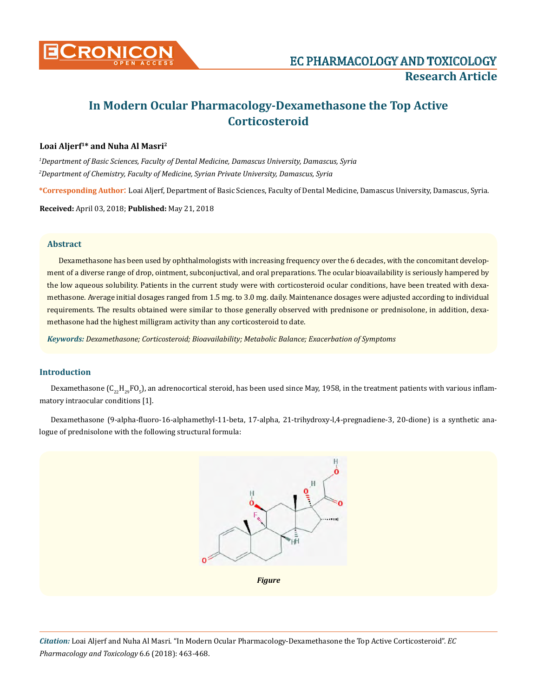

# **In Modern Ocular Pharmacology-Dexamethasone the Top Active Corticosteroid**

# **Loai Aljerf1\* and Nuha Al Masri2**

*1 Department of Basic Sciences, Faculty of Dental Medicine, Damascus University, Damascus, Syria 2 Department of Chemistry, Faculty of Medicine, Syrian Private University, Damascus, Syria*

**\*Corresponding Author**: Loai Aljerf, Department of Basic Sciences, Faculty of Dental Medicine, Damascus University, Damascus, Syria.

**Received:** April 03, 2018; **Published:** May 21, 2018

# **Abstract**

Dexamethasone has been used by ophthalmologists with increasing frequency over the 6 decades, with the concomitant development of a diverse range of drop, ointment, subconjuctival, and oral preparations. The ocular bioavailability is seriously hampered by the low aqueous solubility. Patients in the current study were with corticosteroid ocular conditions, have been treated with dexamethasone. Average initial dosages ranged from 1.5 mg. to 3.0 mg. daily. Maintenance dosages were adjusted according to individual requirements. The results obtained were similar to those generally observed with prednisone or prednisolone, in addition, dexamethasone had the highest milligram activity than any corticosteroid to date.

*Keywords: Dexamethasone; Corticosteroid; Bioavailability; Metabolic Balance; Exacerbation of Symptoms*

# **Introduction**

Dexamethasone (C $_{22}$ H $_{29}$ FO $_{5}$ ), an adrenocortical steroid, has been used since May, 1958, in the treatment patients with various inflammatory intraocular conditions [1].

Dexamethasone (9-alpha-fluoro-16-alphamethyl-11-beta, 17-alpha, 21-trihydroxy-l,4-pregnadiene-3, 20-dione) is a synthetic analogue of prednisolone with the following structural formula:

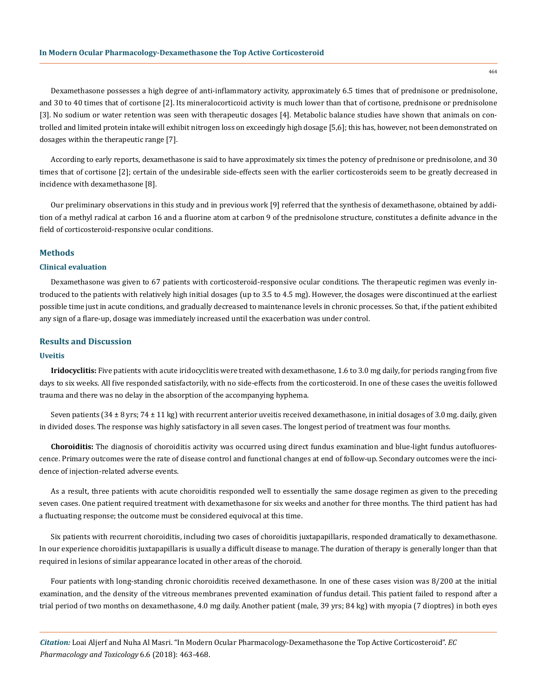Dexamethasone possesses a high degree of anti-inflammatory activity, approximately 6.5 times that of prednisone or prednisolone, and 30 to 40 times that of cortisone [2]. Its mineralocorticoid activity is much lower than that of cortisone, prednisone or prednisolone [3]. No sodium or water retention was seen with therapeutic dosages [4]. Metabolic balance studies have shown that animals on controlled and limited protein intake will exhibit nitrogen loss on exceedingly high dosage [5,6]; this has, however, not been demonstrated on dosages within the therapeutic range [7].

According to early reports, dexamethasone is said to have approximately six times the potency of prednisone or prednisolone, and 30 times that of cortisone [2]; certain of the undesirable side-effects seen with the earlier corticosteroids seem to be greatly decreased in incidence with dexamethasone [8].

Our preliminary observations in this study and in previous work [9] referred that the synthesis of dexamethasone, obtained by addition of a methyl radical at carbon 16 and a fluorine atom at carbon 9 of the prednisolone structure, constitutes a definite advance in the field of corticosteroid-responsive ocular conditions.

## **Methods**

## **Clinical evaluation**

Dexamethasone was given to 67 patients with corticosteroid-responsive ocular conditions. The therapeutic regimen was evenly introduced to the patients with relatively high initial dosages (up to 3.5 to 4.5 mg). However, the dosages were discontinued at the earliest possible time just in acute conditions, and gradually decreased to maintenance levels in chronic processes. So that, if the patient exhibited any sign of a flare-up, dosage was immediately increased until the exacerbation was under control.

## **Results and Discussion**

#### **Uveitis**

**Iridocyclitis:** Five patients with acute iridocyclitis were treated with dexamethasone, 1.6 to 3.0 mg daily, for periods ranging from five days to six weeks. All five responded satisfactorily, with no side-effects from the corticosteroid. In one of these cases the uveitis followed trauma and there was no delay in the absorption of the accompanying hyphema.

Seven patients (34  $\pm$  8 yrs; 74  $\pm$  11 kg) with recurrent anterior uveitis received dexamethasone, in initial dosages of 3.0 mg. daily, given in divided doses. The response was highly satisfactory in all seven cases. The longest period of treatment was four months.

**Choroiditis:** The diagnosis of choroiditis activity was occurred using direct fundus examination and blue-light fundus autofluorescence. Primary outcomes were the rate of disease control and functional changes at end of follow-up. Secondary outcomes were the incidence of injection-related adverse events.

As a result, three patients with acute choroiditis responded well to essentially the same dosage regimen as given to the preceding seven cases. One patient required treatment with dexamethasone for six weeks and another for three months. The third patient has had a fluctuating response; the outcome must be considered equivocal at this time.

Six patients with recurrent choroiditis, including two cases of choroiditis juxtapapillaris, responded dramatically to dexamethasone. In our experience choroiditis juxtapapillaris is usually a difficult disease to manage. The duration of therapy is generally longer than that required in lesions of similar appearance located in other areas of the choroid.

Four patients with long-standing chronic choroiditis received dexamethasone. In one of these cases vision was 8/200 at the initial examination, and the density of the vitreous membranes prevented examination of fundus detail. This patient failed to respond after a trial period of two months on dexamethasone, 4.0 mg daily. Another patient (male, 39 yrs; 84 kg) with myopia (7 dioptres) in both eyes

464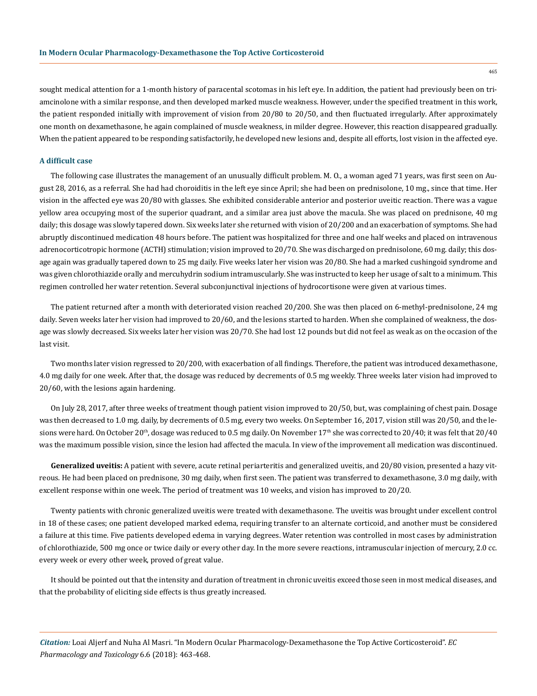465

sought medical attention for a 1-month history of paracental scotomas in his left eye. In addition, the patient had previously been on triamcinolone with a similar response, and then developed marked muscle weakness. However, under the specified treatment in this work, the patient responded initially with improvement of vision from 20/80 to 20/50, and then fluctuated irregularly. After approximately one month on dexamethasone, he again complained of muscle weakness, in milder degree. However, this reaction disappeared gradually. When the patient appeared to be responding satisfactorily, he developed new lesions and, despite all efforts, lost vision in the affected eye.

## **A difficult case**

The following case illustrates the management of an unusually difficult problem. M. O., a woman aged 71 years, was first seen on August 28, 2016, as a referral. She had had choroiditis in the left eye since April; she had been on prednisolone, 10 mg., since that time. Her vision in the affected eye was 20/80 with glasses. She exhibited considerable anterior and posterior uveitic reaction. There was a vague yellow area occupying most of the superior quadrant, and a similar area just above the macula. She was placed on prednisone, 40 mg daily; this dosage was slowly tapered down. Six weeks later she returned with vision of 20/200 and an exacerbation of symptoms. She had abruptly discontinued medication 48 hours before. The patient was hospitalized for three and one half weeks and placed on intravenous adrenocorticotropic hormone (ACTH) stimulation; vision improved to 20/70. She was discharged on prednisolone, 60 mg. daily; this dosage again was gradually tapered down to 25 mg daily. Five weeks later her vision was 20/80. She had a marked cushingoid syndrome and was given chlorothiazide orally and mercuhydrin sodium intramuscularly. She was instructed to keep her usage of salt to a minimum. This regimen controlled her water retention. Several subconjunctival injections of hydrocortisone were given at various times.

The patient returned after a month with deteriorated vision reached 20/200. She was then placed on 6-methyl-prednisolone, 24 mg daily. Seven weeks later her vision had improved to 20/60, and the lesions started to harden. When she complained of weakness, the dosage was slowly decreased. Six weeks later her vision was 20/70. She had lost 12 pounds but did not feel as weak as on the occasion of the last visit.

Two months later vision regressed to 20/200, with exacerbation of all findings. Therefore, the patient was introduced dexamethasone, 4.0 mg daily for one week. After that, the dosage was reduced by decrements of 0.5 mg weekly. Three weeks later vision had improved to 20/60, with the lesions again hardening.

On July 28, 2017, after three weeks of treatment though patient vision improved to 20/50, but, was complaining of chest pain. Dosage was then decreased to 1.0 mg. daily, by decrements of 0.5 mg, every two weeks. On September 16, 2017, vision still was 20/50, and the lesions were hard. On October 20<sup>th</sup>, dosage was reduced to 0.5 mg daily. On November 17<sup>th</sup> she was corrected to 20/40; it was felt that 20/40 was the maximum possible vision, since the lesion had affected the macula. In view of the improvement all medication was discontinued.

**Generalized uveitis:** A patient with severe, acute retinal periarteritis and generalized uveitis, and 20/80 vision, presented a hazy vitreous. He had been placed on prednisone, 30 mg daily, when first seen. The patient was transferred to dexamethasone, 3.0 mg daily, with excellent response within one week. The period of treatment was 10 weeks, and vision has improved to 20/20.

Twenty patients with chronic generalized uveitis were treated with dexamethasone. The uveitis was brought under excellent control in 18 of these cases; one patient developed marked edema, requiring transfer to an alternate corticoid, and another must be considered a failure at this time. Five patients developed edema in varying degrees. Water retention was controlled in most cases by administration of chlorothiazide, 500 mg once or twice daily or every other day. In the more severe reactions, intramuscular injection of mercury, 2.0 cc. every week or every other week, proved of great value.

It should be pointed out that the intensity and duration of treatment in chronic uveitis exceed those seen in most medical diseases, and that the probability of eliciting side effects is thus greatly increased.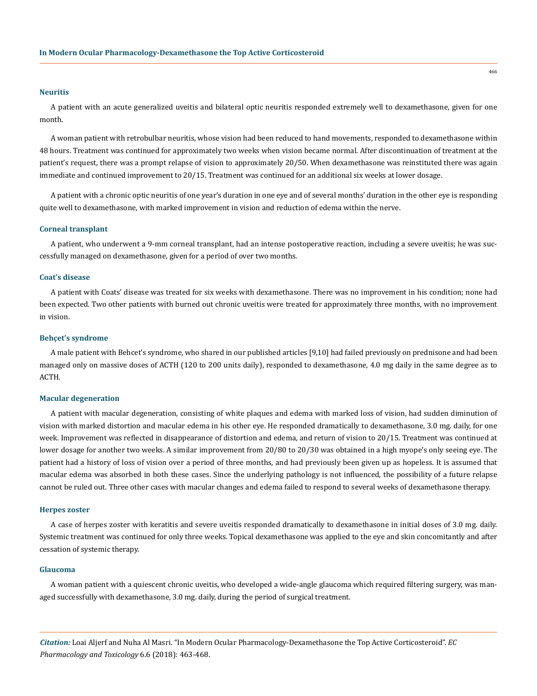#### **Neuritis**

A patient with an acute generalized uveitis and bilateral optic neuritis responded extremely well to dexamethasone, given for one month.

A woman patient with retrobulbar neuritis, whose vision had been reduced to hand movements, responded to dexamethasone within 48 hours. Treatment was continued for approximately two weeks when vision became normal. After discontinuation of treatment at the patient's request, there was a prompt relapse of vision to approximately 20/50. When dexamethasone was reinstituted there was again immediate and continued improvement to 20/15. Treatment was continued for an additional six weeks at lower dosage.

A patient with a chronic optic neuritis of one year's duration in one eye and of several months' duration in the other eye is responding quite well to dexamethasone, with marked improvement in vision and reduction of edema within the nerve.

## **Corneal transplant**

A patient, who underwent a 9-mm corneal transplant, had an intense postoperative reaction, including a severe uveitis; he was successfully managed on dexamethasone, given for a period of over two months.

#### **Coat's disease**

A patient with Coats' disease was treated for six weeks with dexamethasone. There was no improvement in his condition; none had been expected. Two other patients with burned out chronic uveitis were treated for approximately three months, with no improvement in vision.

#### **Behçet's syndrome**

A male patient with Behcet's syndrome, who shared in our published articles [9,10] had failed previously on prednisone and had been managed only on massive doses of ACTH (120 to 200 units daily), responded to dexamethasone, 4.0 mg daily in the same degree as to ACTH.

#### **Macular degeneration**

A patient with macular degeneration, consisting of white plaques and edema with marked loss of vision, had sudden diminution of vision with marked distortion and macular edema in his other eye. He responded dramatically to dexamethasone, 3.0 mg. daily, for one week. Improvement was reflected in disappearance of distortion and edema, and return of vision to 20/15. Treatment was continued at lower dosage for another two weeks. A similar improvement from 20/80 to 20/30 was obtained in a high myope's only seeing eye. The patient had a history of loss of vision over a period of three months, and had previously been given up as hopeless. It is assumed that macular edema was absorbed in both these cases. Since the underlying pathology is not influenced, the possibility of a future relapse cannot be ruled out. Three other cases with macular changes and edema failed to respond to several weeks of dexamethasone therapy.

#### **Herpes zoster**

A case of herpes zoster with keratitis and severe uveitis responded dramatically to dexamethasone in initial doses of 3.0 mg. daily. Systemic treatment was continued for only three weeks. Topical dexamethasone was applied to the eye and skin concomitantly and after cessation of systemic therapy.

#### **Glaucoma**

A woman patient with a quiescent chronic uveitis, who developed a wide-angle glaucoma which required filtering surgery, was managed successfully with dexamethasone, 3.0 mg. daily, during the period of surgical treatment.

466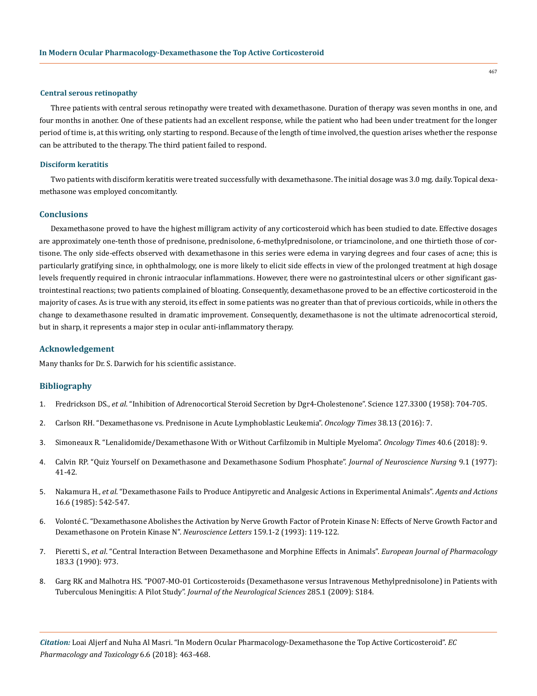## **Central serous retinopathy**

Three patients with central serous retinopathy were treated with dexamethasone. Duration of therapy was seven months in one, and four months in another. One of these patients had an excellent response, while the patient who had been under treatment for the longer period of time is, at this writing, only starting to respond. Because of the length of time involved, the question arises whether the response can be attributed to the therapy. The third patient failed to respond.

## **Disciform keratitis**

Two patients with disciform keratitis were treated successfully with dexamethasone. The initial dosage was 3.0 mg. daily. Topical dexamethasone was employed concomitantly.

## **Conclusions**

Dexamethasone proved to have the highest milligram activity of any corticosteroid which has been studied to date. Effective dosages are approximately one-tenth those of prednisone, prednisolone, 6-methylprednisolone, or triamcinolone, and one thirtieth those of cortisone. The only side-effects observed with dexamethasone in this series were edema in varying degrees and four cases of acne; this is particularly gratifying since, in ophthalmology, one is more likely to elicit side effects in view of the prolonged treatment at high dosage levels frequently required in chronic intraocular inflammations. However, there were no gastrointestinal ulcers or other significant gastrointestinal reactions; two patients complained of bloating. Consequently, dexamethasone proved to be an effective corticosteroid in the majority of cases. As is true with any steroid, its effect in some patients was no greater than that of previous corticoids, while in others the change to dexamethasone resulted in dramatic improvement. Consequently, dexamethasone is not the ultimate adrenocortical steroid, but in sharp, it represents a major step in ocular anti-inflammatory therapy.

## **Acknowledgement**

Many thanks for Dr. S. Darwich for his scientific assistance.

## **Bibliography**

- 1. Fredrickson DS., *et al*. "Inhibition of Adrenocortical Steroid Secretion by Dgr4-Cholestenone". Science 127.3300 (1958): 704-705.
- 2. [Carlson RH. "Dexamethasone vs. Prednisone in Acute Lymphoblastic Leukemia".](https://journals.lww.com/oncology-times/Fulltext/2016/07100/Dexamethasone_vs__Prednisone_in_Acute.3.aspx) *Oncology Times* 38.13 (2016): 7.
- 3. [Simoneaux R. "Lenalidomide/Dexamethasone With or Without Carfilzomib in Multiple Myeloma".](https://journals.lww.com/oncology-times/Fulltext/2018/03200/Lenalidomide_Dexamethasone_With_or_Without.3.aspx) *Oncology Times* 40.6 (2018): 9.
- 4. [Calvin RP. "Quiz Yourself on Dexamethasone and Dexamethasone Sodium Phosphate".](https://www.ncbi.nlm.nih.gov/pubmed/584775) *Journal of Neuroscience Nursing* 9.1 (1977): [41-42.](https://www.ncbi.nlm.nih.gov/pubmed/584775)
- 5. Nakamura H., *et al*[. "Dexamethasone Fails to Produce Antipyretic and Analgesic Actions in Experimental Animals".](https://www.ncbi.nlm.nih.gov/pubmed/3878073) *Agents and Actions*  [16.6 \(1985\): 542-547.](https://www.ncbi.nlm.nih.gov/pubmed/3878073)
- 6. [Volonté C. "Dexamethasone Abolishes the Activation by Nerve Growth Factor of Protein Kinase N: Effects of Nerve Growth Factor and](https://www.ncbi.nlm.nih.gov/pubmed/8264951) [Dexamethasone on Protein Kinase N".](https://www.ncbi.nlm.nih.gov/pubmed/8264951) *Neuroscience Letters* 159.1-2 (1993): 119-122.
- 7. Pieretti S., *et al*. "Central Interaction Between Dexamethasone and Morphine Effects in Animals". *European Journal of Pharmacology* 183.3 (1990): 973.
- 8. [Garg RK and Malhotra HS. "PO07-MO-01 Corticosteroids \(Dexamethasone versus Intravenous Methylprednisolone\) in Patients with](https://www.jns-journal.com/article/S0022-510X(09)70706-3/abstract) Tuberculous Meningitis: A Pilot Study". *[Journal of the Neurological Sciences](https://www.jns-journal.com/article/S0022-510X(09)70706-3/abstract)* 285.1 (2009): S184.

*Citation:* Loai Aljerf and Nuha Al Masri. "In Modern Ocular Pharmacology-Dexamethasone the Top Active Corticosteroid". *EC Pharmacology and Toxicology* 6.6 (2018): 463-468.

467